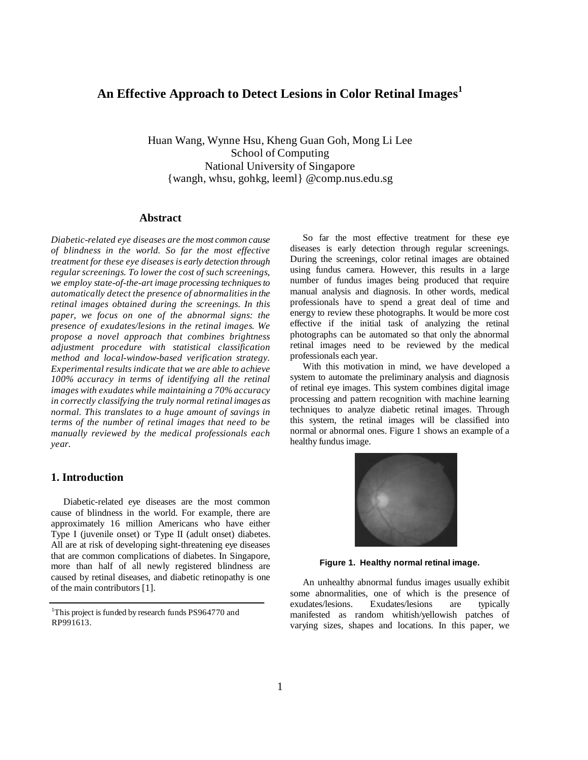# **An Effective Approach to Detect Lesions in Color Retinal Images<sup>1</sup>**

Huan Wang, Wynne Hsu, Kheng Guan Goh, Mong Li Lee School of Computing National University of Singapore {wangh, whsu, gohkg, leeml} @comp.nus.edu.sg

### **Abstract**

*Diabetic-related eye diseases are the most common cause of blindness in the world. So far the most effective treatment for these eye diseases is early detection through regular screenings. To lower the cost of such screenings, we employ state-of-the-art image processing techniques to automatically detect the presence of abnormalities in the retinal images obtained during the screenings. In this paper, we focus on one of the abnormal signs: the presence of exudates/lesions in the retinal images. We propose a novel approach that combines brightness adjustment procedure with statistical classification method and local-window-based verification strategy. Experimental results indicate that we are able to achieve 100% accuracy in terms of identifying all the retinal images with exudates while maintaining a 70% accuracy in correctly classifying the truly normal retinal images as normal. This translates to a huge amount of savings in terms of the number of retinal images that need to be manually reviewed by the medical professionals each year.*

### **1. Introduction**

Diabetic-related eye diseases are the most common cause of blindness in the world. For example, there are approximately 16 million Americans who have either Type I (juvenile onset) or Type II (adult onset) diabetes. All are at risk of developing sight-threatening eye diseases that are common complications of diabetes. In Singapore, more than half of all newly registered blindness are caused by retinal diseases, and diabetic retinopathy is one of the main contributors [1].

So far the most effective treatment for these eye diseases is early detection through regular screenings. During the screenings, color retinal images are obtained using fundus camera. However, this results in a large number of fundus images being produced that require manual analysis and diagnosis. In other words, medical professionals have to spend a great deal of time and energy to review these photographs. It would be more cost effective if the initial task of analyzing the retinal photographs can be automated so that only the abnormal retinal images need to be reviewed by the medical professionals each year.

With this motivation in mind, we have developed a system to automate the preliminary analysis and diagnosis of retinal eye images. This system combines digital image processing and pattern recognition with machine learning techniques to analyze diabetic retinal images. Through this system, the retinal images will be classified into normal or abnormal ones. Figure 1 shows an example of a healthy fundus image.



**Figure 1. Healthy normal retinal image.** 

An unhealthy abnormal fundus images usually exhibit some abnormalities, one of which is the presence of exudates/lesions. Exudates/lesions are typically manifested as random whitish/yellowish patches of varying sizes, shapes and locations. In this paper, we

<sup>&</sup>lt;sup>1</sup>This project is funded by research funds PS964770 and RP991613.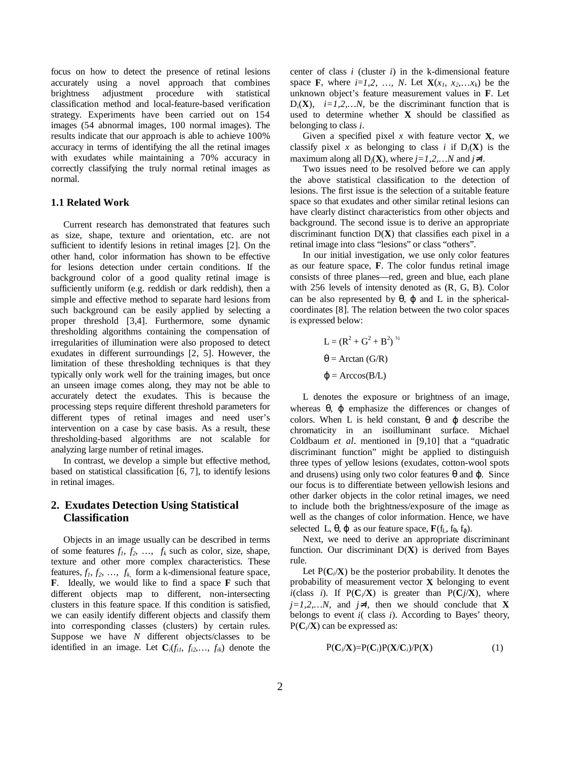focus on how to detect the presence of retinal lesions accurately using a novel approach that combines brightness adjustment procedure with statistical classification method and local-feature-based verification strategy. Experiments have been carried out on 154 images (54 abnormal images, 100 normal images). The results indicate that our approach is able to achieve 100% accuracy in terms of identifying the all the retinal images with exudates while maintaining a 70% accuracy in correctly classifying the truly normal retinal images as normal.

### **1.1 Related Work**

Current research has demonstrated that features such as size, shape, texture and orientation, etc. are not sufficient to identify lesions in retinal images [2]. On the other hand, color information has shown to be effective for lesions detection under certain conditions. If the background color of a good quality retinal image is sufficiently uniform (e.g. reddish or dark reddish), then a simple and effective method to separate hard lesions from such background can be easily applied by selecting a proper threshold [3,4]. Furthermore, some dynamic thresholding algorithms containing the compensation of irregularities of illumination were also proposed to detect exudates in different surroundings [2, 5]. However, the limitation of these thresholding techniques is that they typically only work well for the training images, but once an unseen image comes along, they may not be able to accurately detect the exudates. This is because the processing steps require different threshold parameters for different types of retinal images and need user's intervention on a case by case basis. As a result, these thresholding-based algorithms are not scalable for analyzing large number of retinal images.

In contrast, we develop a simple but effective method, based on statistical classification [6, 7], to identify lesions in retinal images.

## **2. Exudates Detection Using Statistical Classification**

Objects in an image usually can be described in terms of some features  $f_1, f_2, \ldots, f_k$  such as color, size, shape, texture and other more complex characteristics. These features,  $f_1$ ,  $f_2$ , ...,  $f_k$ , form a k-dimensional feature space, **F**. Ideally, we would like to find a space **F** such that different objects map to different, non-intersecting clusters in this feature space. If this condition is satisfied, we can easily identify different objects and classify them into corresponding classes (clusters) by certain rules. Suppose we have *N* different objects/classes to be identified in an image. Let  $C_i(f_{i1}, f_{i2},..., f_{ik})$  denote the center of class *i* (cluster *i*) in the k-dimensional feature space **F**, where  $i=1,2, \ldots, N$ . Let  $\mathbf{X}(x_1, x_2, \ldots, x_k)$  be the unknown object's feature measurement values in **F**. Let  $D_i(X)$ ,  $i=1,2,...N$ , be the discriminant function that is used to determine whether **X** should be classified as belonging to class *i*.

Given a specified pixel  $x$  with feature vector  $X$ , we classify pixel x as belonging to class *i* if  $D_i(X)$  is the maximum along all  $D_i(\mathbf{X})$ , where  $j = 1, 2, \dots N$  and  $j \neq i$ .

Two issues need to be resolved before we can apply the above statistical classification to the detection of lesions. The first issue is the selection of a suitable feature space so that exudates and other similar retinal lesions can have clearly distinct characteristics from other objects and background. The second issue is to derive an appropriate discriminant function  $D(X)$  that classifies each pixel in a retinal image into class "lesions" or class "others".

In our initial investigation, we use only color features as our feature space, **F**. The color fundus retinal image consists of three planes—red, green and blue, each plane with 256 levels of intensity denoted as (R, G, B). Color can be also represented by  $\theta$ ,  $\varphi$  and L in the sphericalcoordinates [8]. The relation between the two color spaces is expressed below:

$$
L = (R2 + G2 + B2)1/2
$$

$$
\theta = \text{Arctan} (G/R)
$$

$$
\varphi = \text{Arccos}(B/L)
$$

L denotes the exposure or brightness of an image, whereas  $θ$ ,  $φ$  emphasize the differences or changes of colors. When L is held constant,  $\theta$  and  $\phi$  describe the chromaticity in an isoilluminant surface. Michael Coldbaum *et al*. mentioned in [9,10] that a "quadratic discriminant function" might be applied to distinguish three types of yellow lesions (exudates, cotton-wool spots and drusens) using only two color features  $\theta$  and  $\phi$ . Since our focus is to differentiate between yellowish lesions and other darker objects in the color retinal images, we need to include both the brightness/exposure of the image as well as the changes of color information. Hence, we have selected L,  $\theta$ ,  $\varphi$  as our feature space,  $\mathbf{F}(f_L, f_{\theta}, f_{\phi})$ .

Next, we need to derive an appropriate discriminant function. Our discriminant D(**X**) is derived from Bayes rule.

Let  $P(C_i/X)$  be the posterior probability. It denotes the probability of measurement vector **X** belonging to event *i*(class *i*). If  $P(C_i/X)$  is greater than  $P(C_j/X)$ , where *j*=1,2,…N, and *j≠i*, then we should conclude that **X** belongs to event *i*( class *i*). According to Bayes' theory,  $P(C_i/X)$  can be expressed as:

$$
P(C_i/X)=P(C_i)P(X/C_i)/P(X)
$$
 (1)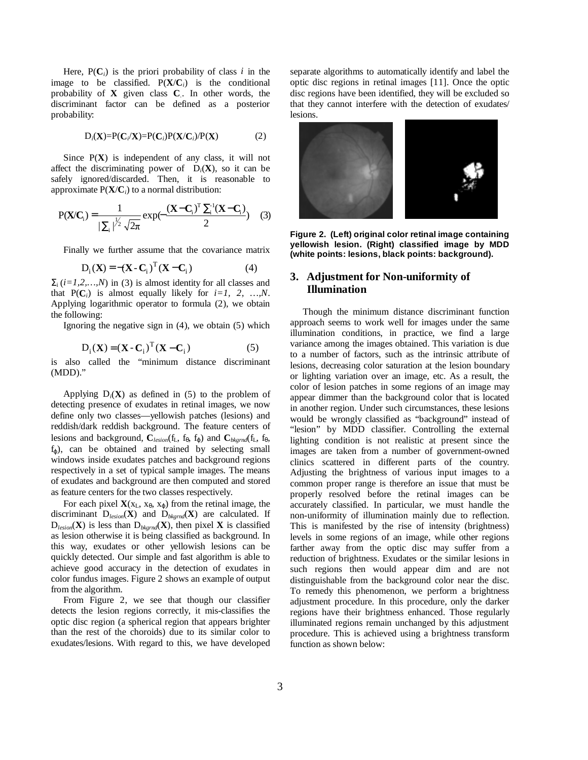Here,  $P(C_i)$  is the priori probability of class *i* in the image to be classified.  $P(X/C_i)$  is the conditional probability of **X** given class **C***.*. In other words, the discriminant factor can be defined as a posterior probability:

$$
D_i(X)=P(C_i/X)=P(C_i)P(X/C_i)/P(X)
$$
 (2)

Since P(**X**) is independent of any class, it will not affect the discriminating power of  $D_i(X)$ , so it can be safely ignored/discarded. Then, it is reasonable to approximate  $P(X/C_i)$  to a normal distribution:

$$
P(\mathbf{X}/\mathbf{C}_{i}) = \frac{1}{\left|\sum_{i} \right|^{j_{2}} \sqrt{2\pi}} \exp\left(-\frac{(\mathbf{X} - \mathbf{C}_{i})^{\mathrm{T}} \sum_{i}^{1} (\mathbf{X} - \mathbf{C}_{i})}{2}\right) \quad (3)
$$

Finally we further assume that the covariance matrix

$$
D_i(\mathbf{X}) = -(\mathbf{X} - \mathbf{C}_i)^T (\mathbf{X} - \mathbf{C}_i)
$$
 (4)

 $\Sigma_i$  (*i*=1,2,…,N) in (3) is almost identity for all classes and that  $P(C_i)$  is almost equally likely for  $i=1, 2, ..., N$ . Applying logarithmic operator to formula (2), we obtain the following:

Ignoring the negative sign in (4), we obtain (5) which

$$
D_i(\mathbf{X}) = (\mathbf{X} - \mathbf{C}_i)^T (\mathbf{X} - \mathbf{C}_i)
$$
 (5)

is also called the "minimum distance discriminant (MDD)."

Applying  $D_i(X)$  as defined in (5) to the problem of detecting presence of exudates in retinal images, we now define only two classes—yellowish patches (lesions) and reddish/dark reddish background. The feature centers of lesions and background,  $C_{lesion}(f_L, f_{\theta}, f_{\phi})$  and  $C_{bkgrnd}(f_L, f_{\theta}, f_{\phi})$  $f_{\varphi}$ ), can be obtained and trained by selecting small windows inside exudates patches and background regions respectively in a set of typical sample images. The means of exudates and background are then computed and stored as feature centers for the two classes respectively.

For each pixel  $\mathbf{X}(x_L, x_{\theta}, x_{\phi})$  from the retinal image, the discriminant D*lesion*(**X**) and D*bkgrnd*(**X**) are calculated. If  $D_{lesion}(\mathbf{X})$  is less than  $D_{bkgrnd}(\mathbf{X})$ , then pixel **X** is classified as lesion otherwise it is being classified as background. In this way, exudates or other yellowish lesions can be quickly detected. Our simple and fast algorithm is able to achieve good accuracy in the detection of exudates in color fundus images. Figure 2 shows an example of output from the algorithm.

From Figure 2, we see that though our classifier detects the lesion regions correctly, it mis-classifies the optic disc region (a spherical region that appears brighter than the rest of the choroids) due to its similar color to exudates/lesions. With regard to this, we have developed separate algorithms to automatically identify and label the optic disc regions in retinal images [11]. Once the optic disc regions have been identified, they will be excluded so that they cannot interfere with the detection of exudates/ lesions.



**Figure 2. (Left) original color retinal image containing yellowish lesion. (Right) classified image by MDD (white points: lesions, black points: background).** 

## **3. Adjustment for Non-uniformity of Illumination**

Though the minimum distance discriminant function approach seems to work well for images under the same illumination conditions, in practice, we find a large variance among the images obtained. This variation is due to a number of factors, such as the intrinsic attribute of lesions, decreasing color saturation at the lesion boundary or lighting variation over an image, etc. As a result, the color of lesion patches in some regions of an image may appear dimmer than the background color that is located in another region. Under such circumstances, these lesions would be wrongly classified as "background" instead of "lesion" by MDD classifier. Controlling the external lighting condition is not realistic at present since the images are taken from a number of government-owned clinics scattered in different parts of the country. Adjusting the brightness of various input images to a common proper range is therefore an issue that must be properly resolved before the retinal images can be accurately classified. In particular, we must handle the non-uniformity of illumination mainly due to reflection. This is manifested by the rise of intensity (brightness) levels in some regions of an image, while other regions farther away from the optic disc may suffer from a reduction of brightness. Exudates or the similar lesions in such regions then would appear dim and are not distinguishable from the background color near the disc. To remedy this phenomenon, we perform a brightness adjustment procedure. In this procedure, only the darker regions have their brightness enhanced. Those regularly illuminated regions remain unchanged by this adjustment procedure. This is achieved using a brightness transform function as shown below: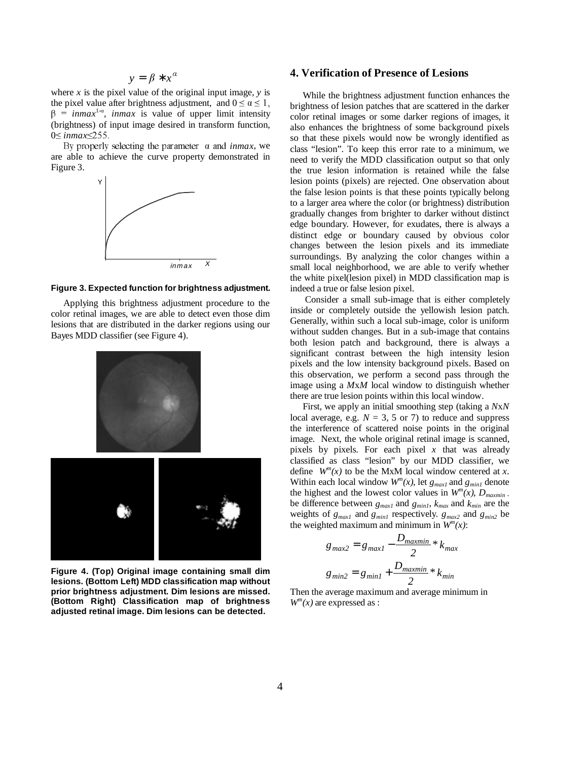$$
y = \beta * x^{\alpha}
$$

where  $x$  is the pixel value of the original input image,  $y$  is the pixel value after brightness adjustment, and  $0 \le \alpha \le 1$ ,  $\beta$  = *inmax*<sup>1-a</sup>, *inmax* is value of upper limit intensity (brightness) of input image desired in transform function, 0≤ *inmax* ≤ 255

By properly selecting the parameter  $\alpha$  and *inmax*, we are able to achieve the curve property demonstrated in Figure 3.



# **Figure 3. Expected function for brightness adjustment.**

Applying this brightness adjustment procedure to the color retinal images, we are able to detect even those dim lesions that are distributed in the darker regions using our Bayes MDD classifier (see Figure 4).



**Figure 4. (Top) Original image containing small dim lesions. (Bottom Left) MDD classification map without prior brightness adjustment. Dim lesions are missed. (Bottom Right) Classification map of brightness adjusted retinal image. Dim lesions can be detected.** 

## **4. Verification of Presence of Lesions**

While the brightness adjustment function enhances the brightness of lesion patches that are scattered in the darker color retinal images or some darker regions of images, it also enhances the brightness of some background pixels so that these pixels would now be wrongly identified as class "lesion". To keep this error rate to a minimum, we need to verify the MDD classification output so that only the true lesion information is retained while the false lesion points (pixels) are rejected. One observation about the false lesion points is that these points typically belong to a larger area where the color (or brightness) distribution gradually changes from brighter to darker without distinct edge boundary. However, for exudates, there is always a distinct edge or boundary caused by obvious color changes between the lesion pixels and its immediate surroundings. By analyzing the color changes within a small local neighborhood, we are able to verify whether the white pixel(lesion pixel) in MDD classification map is indeed a true or false lesion pixel.

 Consider a small sub-image that is either completely inside or completely outside the yellowish lesion patch. Generally, within such a local sub-image, color is uniform without sudden changes. But in a sub-image that contains both lesion patch and background, there is always a significant contrast between the high intensity lesion pixels and the low intensity background pixels. Based on this observation, we perform a second pass through the image using a *M*x*M* local window to distinguish whether there are true lesion points within this local window.

First, we apply an initial smoothing step (taking a *N*x*N* local average, e.g.  $N = 3, 5$  or 7) to reduce and suppress the interference of scattered noise points in the original image. Next, the whole original retinal image is scanned, pixels by pixels. For each pixel *x* that was already classified as class "lesion" by our MDD classifier, we define  $W^m(x)$  to be the MxM local window centered at *x*. Within each local window  $W^m(x)$ , let  $g_{max1}$  and  $g_{min1}$  denote the highest and the lowest color values in  $W^m(x)$ ,  $D_{maxmin}$ . be difference between *gmax1* and *gmin1*, *kmax* and *kmin* are the weights of  $g_{max1}$  and  $g_{min1}$  respectively.  $g_{max2}$  and  $g_{min2}$  be the weighted maximum and minimum in  $W^m(x)$ :

$$
g_{max2} = g_{max1} - \frac{D_{maxmin}}{2} * k_{max}
$$

$$
g_{min2} = g_{min1} + \frac{D_{maxmin}}{2} * k_{min}
$$

Then the average maximum and average minimum in  $W^m(x)$  are expressed as :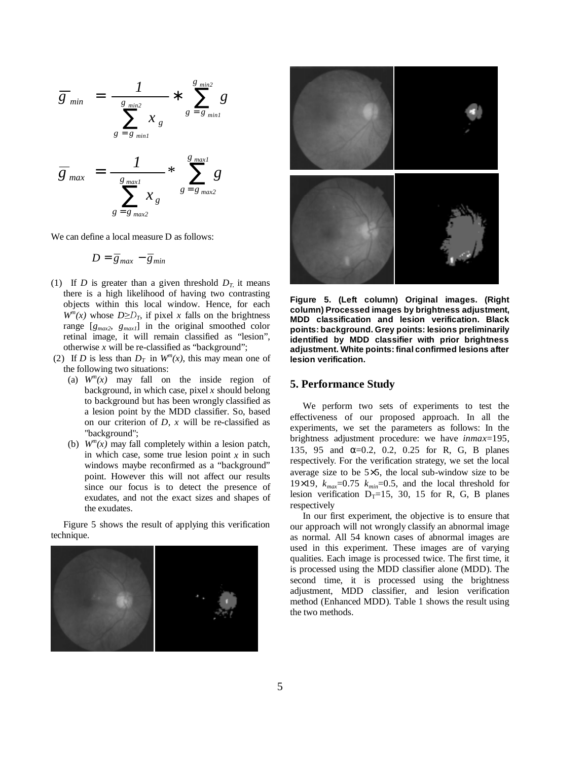

We can define a local measure D as follows:

$$
D=\overline{g}_{max}-\overline{g}_{min}
$$

- (1) If *D* is greater than a given threshold  $D_T$  it means there is a high likelihood of having two contrasting objects within this local window. Hence, for each  $W^m(x)$  whose  $D \ge D_T$ , if pixel *x* falls on the brightness range [*gmax2*, *gmax1*] in the original smoothed color retinal image, it will remain classified as "lesion", otherwise *x* will be re-classified as "background";
- (2) If *D* is less than  $D_T$  in  $W^m(x)$ , this may mean one of the following two situations:
	- (a)  $W<sup>m</sup>(x)$  may fall on the inside region of background, in which case, pixel *x* should belong to background but has been wrongly classified as a lesion point by the MDD classifier. So, based on our criterion of *D*, *x* will be re-classified as "background";
	- (b)  $W^m(x)$  may fall completely within a lesion patch, in which case, some true lesion point *x* in such windows maybe reconfirmed as a "background" point. However this will not affect our results since our focus is to detect the presence of exudates, and not the exact sizes and shapes of the exudates.

Figure 5 shows the result of applying this verification technique.





**Figure 5. (Left column) Original images. (Right column) Processed images by brightness adjustment, MDD classification and lesion verification. Black points: background. Grey points: lesions preliminarily identified by MDD classifier with prior brightness adjustment. White points: final confirmed lesions after lesion verification.** 

### **5. Performance Study**

We perform two sets of experiments to test the effectiveness of our proposed approach. In all the experiments, we set the parameters as follows: In the brightness adjustment procedure: we have *inmax*=195, 135, 95 and α=0.2, 0.2, 0.25 for R, G, B planes respectively. For the verification strategy, we set the local average size to be 5×5, the local sub-window size to be 19×19,  $k_{max}$ =0.75  $k_{min}$ =0.5, and the local threshold for lesion verification  $D_T=15$ , 30, 15 for R, G, B planes respectively

In our first experiment, the objective is to ensure that our approach will not wrongly classify an abnormal image as normal. All 54 known cases of abnormal images are used in this experiment. These images are of varying qualities. Each image is processed twice. The first time, it is processed using the MDD classifier alone (MDD). The second time, it is processed using the brightness adjustment, MDD classifier, and lesion verification method (Enhanced MDD). Table 1 shows the result using the two methods.